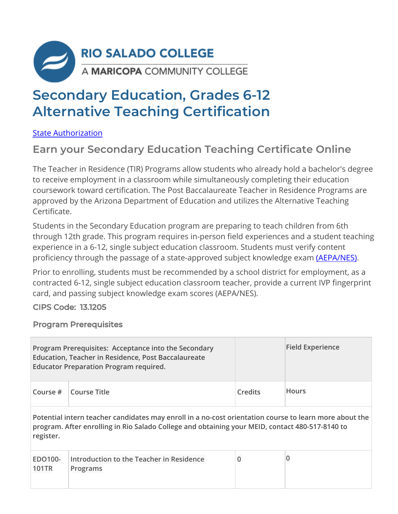

## **Secondary Education, Grades 6-12 Alternative Teaching Certification**

State Authorization

## **Earn your Secondary Education Teaching Certificate Online**

The Teacher in Residence (TIR) Programs allow students who already hold a bachelor's degree to receive employment in a classroom while simultaneously completing their education coursework toward certification. The Post Baccalaureate Teacher in Residence Programs are approved by the Arizona Department of Education and utilizes the Alternative Teaching Certificate.

Students in the Secondary Education program are preparing to teach children from 6th through 12th grade. This program requires in-person field experiences and a student teaching experience in a 6-12, single subject education classroom. Students must verify content proficiency through the passage of a state-approved subject knowledge exam (AEPA/NES).

Prior to enrolling, students must be recommended by a school district for employment, as a contracted 6-12, single subject education classroom teacher, provide a current IVP fingerprint card, and passing subject knowledge exam scores (AEPA/NES).

CIPS Code: 13.1205

Program Prerequisites

|                  | Program Prerequisites: Acceptance into the Secondary<br><b>Education, Teacher in Residence, Post Baccalaureate</b><br><b>Educator Preparation Program required.</b>                                       |          | <b>Field Experience</b> |
|------------------|-----------------------------------------------------------------------------------------------------------------------------------------------------------------------------------------------------------|----------|-------------------------|
| Course $#$       | <b>Course Title</b>                                                                                                                                                                                       | Credits  | <b>Hours</b>            |
| register.        | Potential intern teacher candidates may enroll in a no-cost orientation course to learn more about the<br>program. After enrolling in Rio Salado College and obtaining your MEID, contact 480-517-8140 to |          |                         |
| EDO100-<br>101TR | Introduction to the Teacher in Residence<br>Programs                                                                                                                                                      | $\bf{0}$ | 0                       |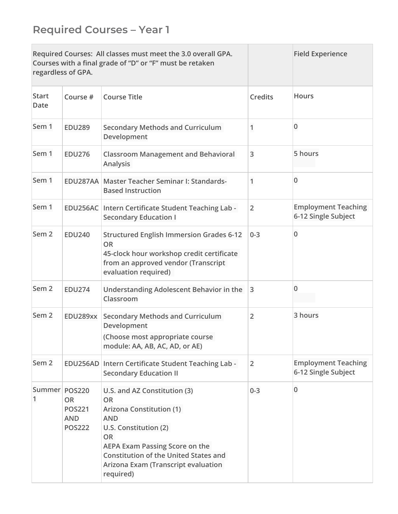| Required Courses: All classes must meet the 3.0 overall GPA.<br>Courses with a final grade of "D" or "F" must be retaken<br>regardless of GPA. |                                                                                                                                         |                                                                                                                                                                                                                                                                               |                | <b>Field Experience</b>                           |
|------------------------------------------------------------------------------------------------------------------------------------------------|-----------------------------------------------------------------------------------------------------------------------------------------|-------------------------------------------------------------------------------------------------------------------------------------------------------------------------------------------------------------------------------------------------------------------------------|----------------|---------------------------------------------------|
| <b>Start</b><br><b>Date</b>                                                                                                                    | Course #                                                                                                                                | <b>Course Title</b>                                                                                                                                                                                                                                                           | <b>Credits</b> | <b>Hours</b>                                      |
| Sem 1                                                                                                                                          | <b>EDU289</b>                                                                                                                           | <b>Secondary Methods and Curriculum</b><br>Development                                                                                                                                                                                                                        | 1              | $\Omega$                                          |
| Sem 1                                                                                                                                          | <b>EDU276</b>                                                                                                                           | <b>Classroom Management and Behavioral</b><br>Analysis                                                                                                                                                                                                                        | 3              | 5 hours                                           |
| Sem 1                                                                                                                                          |                                                                                                                                         | EDU287AA Master Teacher Seminar I: Standards-<br><b>Based Instruction</b>                                                                                                                                                                                                     |                | $\Omega$                                          |
| Sem 1                                                                                                                                          |                                                                                                                                         | EDU256AC Intern Certificate Student Teaching Lab -<br><b>Secondary Education I</b>                                                                                                                                                                                            | $\overline{2}$ | <b>Employment Teaching</b><br>6-12 Single Subject |
| Sem <sub>2</sub>                                                                                                                               | <b>EDU240</b>                                                                                                                           | <b>Structured English Immersion Grades 6-12</b><br><b>OR</b><br>45-clock hour workshop credit certificate<br>from an approved vendor (Transcript<br>evaluation required)                                                                                                      | $0 - 3$        | 0                                                 |
| Sem <sub>2</sub>                                                                                                                               | <b>EDU274</b>                                                                                                                           | Understanding Adolescent Behavior in the<br>Classroom                                                                                                                                                                                                                         | 3              | 0                                                 |
| Sem <sub>2</sub>                                                                                                                               | <b>Secondary Methods and Curriculum</b><br>EDU289xx<br>Development<br>(Choose most appropriate course<br>module: AA, AB, AC, AD, or AE) |                                                                                                                                                                                                                                                                               | $\overline{2}$ | 3 hours                                           |
| Sem <sub>2</sub>                                                                                                                               |                                                                                                                                         | EDU256AD Intern Certificate Student Teaching Lab -<br><b>Secondary Education II</b>                                                                                                                                                                                           | $\overline{2}$ | <b>Employment Teaching</b><br>6-12 Single Subject |
| Summer POS220<br>1                                                                                                                             | OR<br><b>POS221</b><br><b>AND</b><br><b>POS222</b>                                                                                      | U.S. and AZ Constitution (3)<br><b>OR</b><br><b>Arizona Constitution (1)</b><br><b>AND</b><br>U.S. Constitution (2)<br><b>OR</b><br><b>AEPA Exam Passing Score on the</b><br><b>Constitution of the United States and</b><br>Arizona Exam (Transcript evaluation<br>required) | $0 - 3$        | $\mathbf 0$                                       |